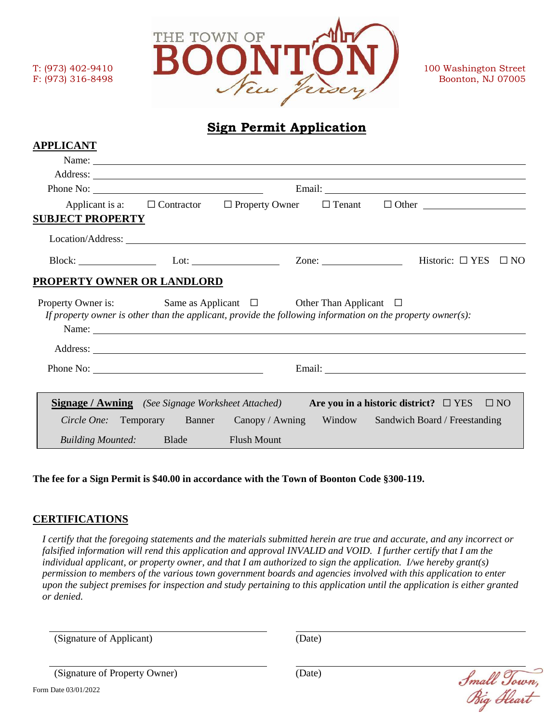

## **Sign Permit Application**

| <b>APPLICANT</b>                                                                                      |                                                                                                                                                                                                                                |                                             |                                                                                                                                                                                                                                      |  |
|-------------------------------------------------------------------------------------------------------|--------------------------------------------------------------------------------------------------------------------------------------------------------------------------------------------------------------------------------|---------------------------------------------|--------------------------------------------------------------------------------------------------------------------------------------------------------------------------------------------------------------------------------------|--|
|                                                                                                       |                                                                                                                                                                                                                                | Name:                                       |                                                                                                                                                                                                                                      |  |
|                                                                                                       |                                                                                                                                                                                                                                |                                             |                                                                                                                                                                                                                                      |  |
|                                                                                                       | Email: No. 2014 19:00 Percent Contract Contract Contract Contract Contract Contract Contract Contract Contract Contract Contract Contract Contract Contract Contract Contract Contract Contract Contract Contract Contract Con |                                             |                                                                                                                                                                                                                                      |  |
| <b>SUBJECT PROPERTY</b>                                                                               |                                                                                                                                                                                                                                |                                             | Applicant is a: $\square$ Contractor $\square$ Property Owner $\square$ Tenant $\square$ Other $\square$                                                                                                                             |  |
|                                                                                                       |                                                                                                                                                                                                                                |                                             |                                                                                                                                                                                                                                      |  |
|                                                                                                       |                                                                                                                                                                                                                                |                                             | Block: 1 YES □ NO                                                                                                                                                                                                                    |  |
| PROPERTY OWNER OR LANDLORD<br>Property Owner is: Same as Applicant $\Box$ Other Than Applicant $\Box$ |                                                                                                                                                                                                                                |                                             | If property owner is other than the applicant, provide the following information on the property owner(s):                                                                                                                           |  |
|                                                                                                       |                                                                                                                                                                                                                                | Name:<br>Address: <u>New York: Address:</u> |                                                                                                                                                                                                                                      |  |
|                                                                                                       |                                                                                                                                                                                                                                |                                             | Email: <u>Alexander and Alexander and Alexander and Alexander and Alexander and Alexander and Alexander and Alexander and Alexander and Alexander and Alexander and Alexander and Alexander and Alexander and Alexander and Alex</u> |  |
| <b>Signage / Awning</b> (See Signage Worksheet Attached)                                              |                                                                                                                                                                                                                                |                                             | Are you in a historic district? $\square$ YES<br>$\Box$ NO<br>Circle One: Temporary Banner Canopy / Awning Window Sandwich Board / Freestanding                                                                                      |  |
| Building Mounted: Blade Flush Mount                                                                   |                                                                                                                                                                                                                                |                                             |                                                                                                                                                                                                                                      |  |

The fee for a Sign Permit is \$40.00 in accordance with the Town of Boonton Code §300-119.

## **CERTIFICATIONS**

*I certify that the foregoing statements and the materials submitted herein are true and accurate, and any incorrect or*  falsified information will rend this application and approval INVALID and VOID. I further certify that I am the *individual applicant, or property owner, and that I am authorized to sign the application. I/we hereby grant(s) permission to members of the various town government boards and agencies involved with this application to enter upon the subject premises for inspection and study pertaining to this application until the application is either granted or denied.*

(Signature of Applicant) (Date)

| (Signature of Property Owner) | (Date) |
|-------------------------------|--------|
| Form Date 03/01/2022          |        |

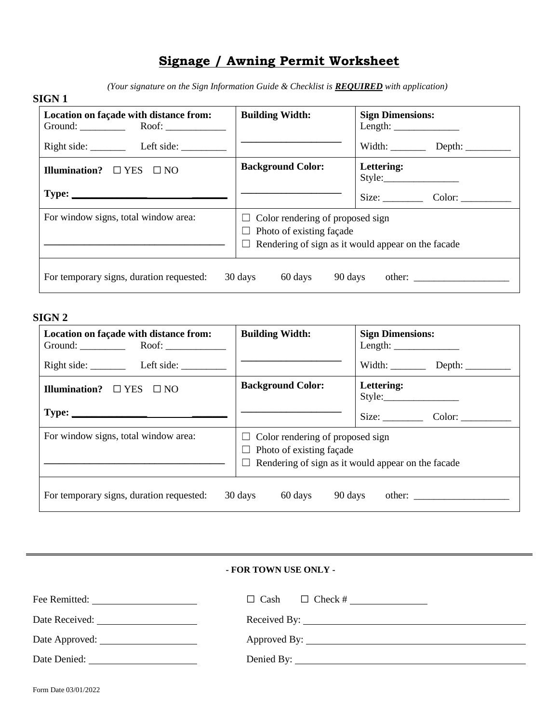# **Signage / Awning Permit Worksheet**

*(Your signature on the Sign Information Guide & Checklist is REQUIRED with application)* 

| <b>Background Color:</b>                                                                                                                | Width: $\qquad \qquad$<br>Lettering: |
|-----------------------------------------------------------------------------------------------------------------------------------------|--------------------------------------|
|                                                                                                                                         |                                      |
|                                                                                                                                         |                                      |
|                                                                                                                                         | Size: Color:                         |
| $\Box$ Color rendering of proposed sign<br>$\Box$ Photo of existing façade<br>$\Box$ Rendering of sign as it would appear on the facade |                                      |
|                                                                                                                                         | 30 days<br>60 days<br>90 days        |

## **SIGN 2**

| Location on façade with distance from:<br>Ground: $\qquad \qquad \text{Root:} \qquad$ | <b>Building Width:</b>                                                                                                                  | <b>Sign Dimensions:</b> |
|---------------------------------------------------------------------------------------|-----------------------------------------------------------------------------------------------------------------------------------------|-------------------------|
| Right side: Left side:                                                                |                                                                                                                                         |                         |
| Illumination? $\square$ YES $\square$ NO                                              | <b>Background Color:</b>                                                                                                                | Lettering:<br>Style:    |
| $Type: \_$                                                                            |                                                                                                                                         | Size:                   |
| For window signs, total window area:                                                  | $\Box$ Color rendering of proposed sign<br>$\Box$ Photo of existing façade<br>$\Box$ Rendering of sign as it would appear on the facade |                         |
| For temporary signs, duration requested:                                              | 60 days<br>30 days<br>90 days                                                                                                           |                         |

| - FOR TOWN USE ONLY -        |              |  |  |  |
|------------------------------|--------------|--|--|--|
|                              |              |  |  |  |
| Date Received: New York 1997 |              |  |  |  |
|                              | Approved By: |  |  |  |
|                              |              |  |  |  |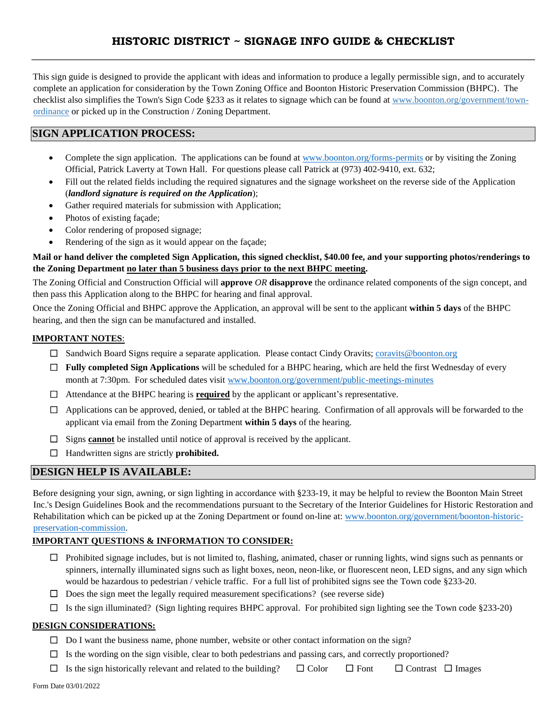This sign guide is designed to provide the applicant with ideas and information to produce a legally permissible sign, and to accurately complete an application for consideration by the Town Zoning Office and Boonton Historic Preservation Commission (BHPC). The checklist also simplifies the Town's Sign Code §233 as it relates to signage which can be found at www.boonton.org/government/townordinance or picked up in the Construction / Zoning Department.

## **SIGN APPLICATION PROCESS:**

- Complete the sign application. The applications can be found at www.boonton.org/forms-permits or by visiting the Zoning Official, Patrick Laverty at Town Hall. For questions please call Patrick at (973) 402-9410, ext. 632;
- Fill out the related fields including the required signatures and the signage worksheet on the reverse side of the Application (*landlord signature is required on the Application*);
- Gather required materials for submission with Application;
- Photos of existing façade;
- Color rendering of proposed signage;
- Rendering of the sign as it would appear on the façade;

#### **Mail or hand deliver the completed Sign Application, this signed checklist, \$40.00 fee, and your supporting photos/renderings to the Zoning Department no later than 5 business days prior to the next BHPC meeting.**

The Zoning Official and Construction Official will **approve** *OR* **disapprove** the ordinance related components of the sign concept, and then pass this Application along to the BHPC for hearing and final approval.

Once the Zoning Official and BHPC approve the Application, an approval will be sent to the applicant **within 5 days** of the BHPC hearing, and then the sign can be manufactured and installed.

## **IMPORTANT NOTES**:

- ☐ Sandwich Board Signs require a separate application. Please contact Cindy Oravits; coravits@boonton.org
- ☐ **Fully completed Sign Applications** will be scheduled for a BHPC hearing, which are held the first Wednesday of every month at 7:30pm. For scheduled dates visit www.boonton.org/government/public-meetings-minutes
- ☐ Attendance at the BHPC hearing is **required** by the applicant or applicant's representative.
- $\Box$  Applications can be approved, denied, or tabled at the BHPC hearing. Confirmation of all approvals will be forwarded to the applicant via email from the Zoning Department **within 5 days** of the hearing.
- ☐ Signs **cannot** be installed until notice of approval is received by the applicant.
- ☐ Handwritten signs are strictly **prohibited.**

## **DESIGN HELP IS AVAILABLE:**

Before designing your sign, awning, or sign lighting in accordance with §233-19, it may be helpful to review the Boonton Main Street Inc.'s Design Guidelines Book and the recommendations pursuant to the Secretary of the Interior Guidelines for Historic Restoration and Rehabilitation which can be picked up at the Zoning Department or found on-line at: www.boonton.org/government/boonton-historicpreservation-commission.

#### **IMPORTANT QUESTIONS & INFORMATION TO CONSIDER:**

- $\Box$  Prohibited signage includes, but is not limited to, flashing, animated, chaser or running lights, wind signs such as pennants or spinners, internally illuminated signs such as light boxes, neon, neon-like, or fluorescent neon, LED signs, and any sign which would be hazardous to pedestrian / vehicle traffic. For a full list of prohibited signs see the Town code §233-20.
- $\Box$  Does the sign meet the legally required measurement specifications? (see reverse side)
- $\Box$  Is the sign illuminated? (Sign lighting requires BHPC approval. For prohibited sign lighting see the Town code §233-20)

## **DESIGN CONSIDERATIONS:**

- $\Box$  Do I want the business name, phone number, website or other contact information on the sign?
- $\Box$  Is the wording on the sign visible, clear to both pedestrians and passing cars, and correctly proportioned?
- ☐ Is the sign historically relevant and related to the building? ☐ Color ☐ Font ☐ Contrast ☐ Images